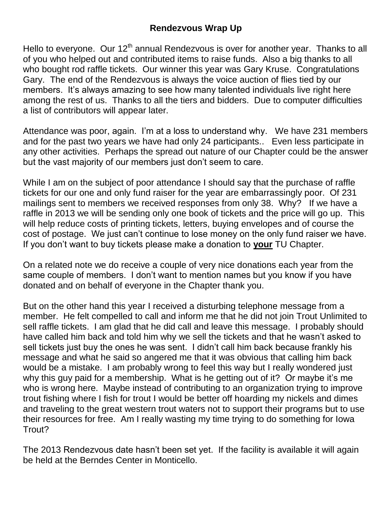Hello to everyone. Our  $12<sup>th</sup>$  annual Rendezvous is over for another year. Thanks to all of you who helped out and contributed items to raise funds. Also a big thanks to all who bought rod raffle tickets. Our winner this year was Gary Kruse. Congratulations Gary. The end of the Rendezvous is always the voice auction of flies tied by our members. It's always amazing to see how many talented individuals live right here among the rest of us. Thanks to all the tiers and bidders. Due to computer difficulties a list of contributors will appear later.

Attendance was poor, again. I'm at a loss to understand why. We have 231 members and for the past two years we have had only 24 participants.. Even less participate in any other activities. Perhaps the spread out nature of our Chapter could be the answer but the vast majority of our members just don't seem to care.

While I am on the subject of poor attendance I should say that the purchase of raffle tickets for our one and only fund raiser for the year are embarrassingly poor. Of 231 mailings sent to members we received responses from only 38. Why? If we have a raffle in 2013 we will be sending only one book of tickets and the price will go up. This will help reduce costs of printing tickets, letters, buying envelopes and of course the cost of postage. We just can't continue to lose money on the only fund raiser we have. If you don't want to buy tickets please make a donation to **your** TU Chapter.

On a related note we do receive a couple of very nice donations each year from the same couple of members. I don't want to mention names but you know if you have donated and on behalf of everyone in the Chapter thank you.

But on the other hand this year I received a disturbing telephone message from a member. He felt compelled to call and inform me that he did not join Trout Unlimited to sell raffle tickets. I am glad that he did call and leave this message. I probably should have called him back and told him why we sell the tickets and that he wasn't asked to sell tickets just buy the ones he was sent. I didn't call him back because frankly his message and what he said so angered me that it was obvious that calling him back would be a mistake. I am probably wrong to feel this way but I really wondered just why this guy paid for a membership. What is he getting out of it? Or maybe it's me who is wrong here. Maybe instead of contributing to an organization trying to improve trout fishing where I fish for trout I would be better off hoarding my nickels and dimes and traveling to the great western trout waters not to support their programs but to use their resources for free. Am I really wasting my time trying to do something for Iowa Trout?

The 2013 Rendezvous date hasn't been set yet. If the facility is available it will again be held at the Berndes Center in Monticello.